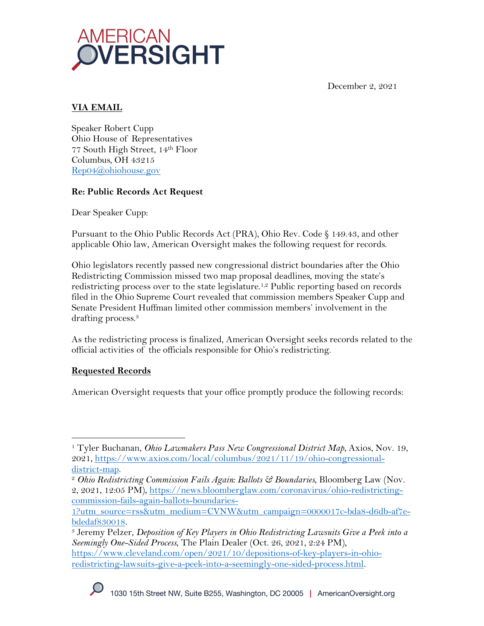



## **VIA EMAIL**

Speaker Robert Cupp Ohio House of Representatives 77 South High Street, 14th Floor Columbus, OH 43215 Rep04@ohiohouse.gov

## **Re: Public Records Act Request**

Dear Speaker Cupp:

Pursuant to the Ohio Public Records Act (PRA), Ohio Rev. Code § 149.43, and other applicable Ohio law, American Oversight makes the following request for records.

Ohio legislators recently passed new congressional district boundaries after the Ohio Redistricting Commission missed two map proposal deadlines, moving the state's redistricting process over to the state legislature.<sup>1,2</sup> Public reporting based on records filed in the Ohio Supreme Court revealed that commission members Speaker Cupp and Senate President Huffman limited other commission members' involvement in the drafting process.3

As the redistricting process is finalized, American Oversight seeks records related to the official activities of the officials responsible for Ohio's redistricting.

# **Requested Records**

American Oversight requests that your office promptly produce the following records:

<sup>1</sup> Tyler Buchanan, *Ohio Lawmakers Pass New Congressional District Map*, Axios, Nov. 19, 2021, https://www.axios.com/local/columbus/2021/11/19/ohio-congressionaldistrict-map.

<sup>2</sup> *Ohio Redistricting Commission Fails Again: Ballots & Boundaries*, Bloomberg Law (Nov. 2, 2021, 12:05 PM), https://news.bloomberglaw.com/coronavirus/ohio-redistrictingcommission-fails-again-ballots-boundaries-

<sup>1?</sup>utm\_source=rss&utm\_medium=CVNW&utm\_campaign=0000017c-bda8-d6db-af7ebdedaf830018.

<sup>3</sup> Jeremy Pelzer, *Deposition of Key Players in Ohio Redistricting Lawsuits Give a Peek into a Seemingly One-Sided Process*, The Plain Dealer (Oct. 26, 2021, 2:24 PM), https://www.cleveland.com/open/2021/10/depositions-of-key-players-in-ohioredistricting-lawsuits-give-a-peek-into-a-seemingly-one-sided-process.html.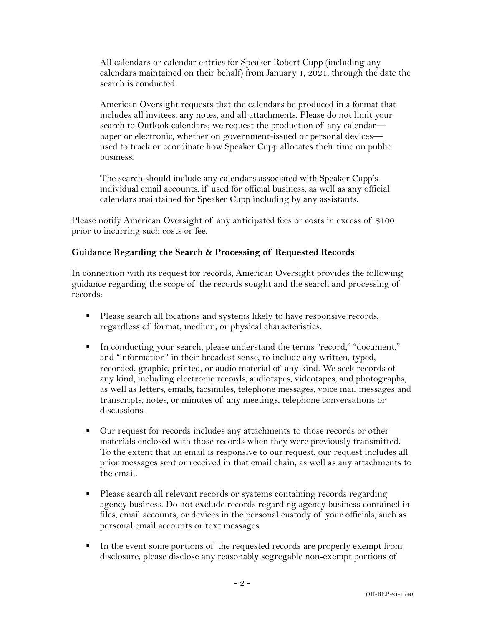All calendars or calendar entries for Speaker Robert Cupp (including any calendars maintained on their behalf) from January 1, 2021, through the date the search is conducted.

American Oversight requests that the calendars be produced in a format that includes all invitees, any notes, and all attachments. Please do not limit your search to Outlook calendars; we request the production of any calendar paper or electronic, whether on government-issued or personal devices used to track or coordinate how Speaker Cupp allocates their time on public business.

The search should include any calendars associated with Speaker Cupp's individual email accounts, if used for official business, as well as any official calendars maintained for Speaker Cupp including by any assistants.

Please notify American Oversight of any anticipated fees or costs in excess of \$100 prior to incurring such costs or fee.

#### **Guidance Regarding the Search & Processing of Requested Records**

In connection with its request for records, American Oversight provides the following guidance regarding the scope of the records sought and the search and processing of records:

- Please search all locations and systems likely to have responsive records, regardless of format, medium, or physical characteristics.
- § In conducting your search, please understand the terms "record," "document," and "information" in their broadest sense, to include any written, typed, recorded, graphic, printed, or audio material of any kind. We seek records of any kind, including electronic records, audiotapes, videotapes, and photographs, as well as letters, emails, facsimiles, telephone messages, voice mail messages and transcripts, notes, or minutes of any meetings, telephone conversations or discussions.
- Our request for records includes any attachments to those records or other materials enclosed with those records when they were previously transmitted. To the extent that an email is responsive to our request, our request includes all prior messages sent or received in that email chain, as well as any attachments to the email.
- Please search all relevant records or systems containing records regarding agency business. Do not exclude records regarding agency business contained in files, email accounts, or devices in the personal custody of your officials, such as personal email accounts or text messages.
- § In the event some portions of the requested records are properly exempt from disclosure, please disclose any reasonably segregable non-exempt portions of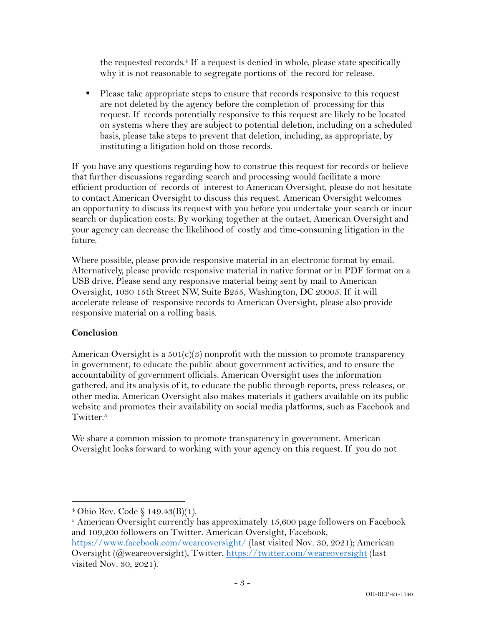the requested records. $4$  If a request is denied in whole, please state specifically why it is not reasonable to segregate portions of the record for release.

■ Please take appropriate steps to ensure that records responsive to this request are not deleted by the agency before the completion of processing for this request. If records potentially responsive to this request are likely to be located on systems where they are subject to potential deletion, including on a scheduled basis, please take steps to prevent that deletion, including, as appropriate, by instituting a litigation hold on those records.

If you have any questions regarding how to construe this request for records or believe that further discussions regarding search and processing would facilitate a more efficient production of records of interest to American Oversight, please do not hesitate to contact American Oversight to discuss this request. American Oversight welcomes an opportunity to discuss its request with you before you undertake your search or incur search or duplication costs. By working together at the outset, American Oversight and your agency can decrease the likelihood of costly and time-consuming litigation in the future.

Where possible, please provide responsive material in an electronic format by email. Alternatively, please provide responsive material in native format or in PDF format on a USB drive. Please send any responsive material being sent by mail to American Oversight, 1030 15th Street NW, Suite B255, Washington, DC 20005. If it will accelerate release of responsive records to American Oversight, please also provide responsive material on a rolling basis.

### **Conclusion**

American Oversight is a  $501(c)(3)$  nonprofit with the mission to promote transparency in government, to educate the public about government activities, and to ensure the accountability of government officials. American Oversight uses the information gathered, and its analysis of it, to educate the public through reports, press releases, or other media. American Oversight also makes materials it gathers available on its public website and promotes their availability on social media platforms, such as Facebook and Twitter.<sup>5</sup>

We share a common mission to promote transparency in government. American Oversight looks forward to working with your agency on this request. If you do not

<sup>4</sup> Ohio Rev. Code § 149.43(B)(1).

 $5$  American Oversight currently has approximately 15,600 page followers on Facebook and 109,200 followers on Twitter. American Oversight, Facebook, https://www.facebook.com/weareoversight/ (last visited Nov. 30, 2021); American Oversight (@weareoversight), Twitter, https://twitter.com/weareoversight (last

visited Nov. 30, 2021).